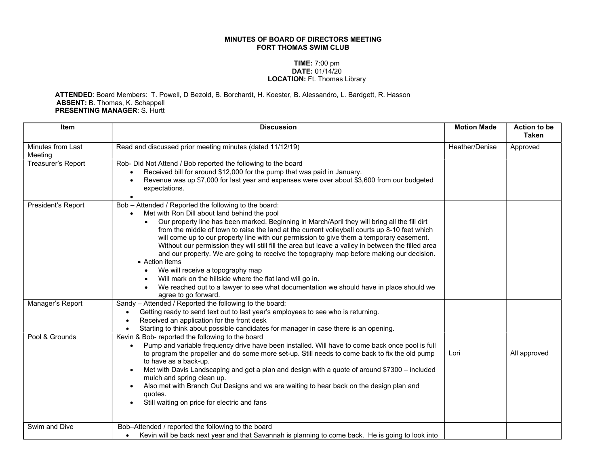## MINUTES OF BOARD OF DIRECTORS MEETING FORT THOMAS SWIM CLUB

## TIME: 7:00 pm DATE: 01/14/20 LOCATION: Ft. Thomas Library

## ATTENDED: Board Members: T. Powell, D Bezold, B. Borchardt, H. Koester, B. Alessandro, L. Bardgett, R. Hasson ABSENT: B. Thomas, K. Schappell PRESENTING MANAGER: S. Hurtt

| <b>Item</b>                  | <b>Discussion</b>                                                                                                                                                                                                                                                                                                                                                                                                                                                                                                                                                                                                                                                                                                                                                                                                                          | <b>Motion Made</b> | <b>Action to be</b><br><b>Taken</b> |
|------------------------------|--------------------------------------------------------------------------------------------------------------------------------------------------------------------------------------------------------------------------------------------------------------------------------------------------------------------------------------------------------------------------------------------------------------------------------------------------------------------------------------------------------------------------------------------------------------------------------------------------------------------------------------------------------------------------------------------------------------------------------------------------------------------------------------------------------------------------------------------|--------------------|-------------------------------------|
| Minutes from Last<br>Meeting | Read and discussed prior meeting minutes (dated 11/12/19)                                                                                                                                                                                                                                                                                                                                                                                                                                                                                                                                                                                                                                                                                                                                                                                  | Heather/Denise     | Approved                            |
| Treasurer's Report           | Rob- Did Not Attend / Bob reported the following to the board<br>Received bill for around \$12,000 for the pump that was paid in January.<br>Revenue was up \$7,000 for last year and expenses were over about \$3,600 from our budgeted<br>expectations.                                                                                                                                                                                                                                                                                                                                                                                                                                                                                                                                                                                  |                    |                                     |
| President's Report           | Bob - Attended / Reported the following to the board:<br>Met with Ron Dill about land behind the pool<br>Our property line has been marked. Beginning in March/April they will bring all the fill dirt<br>from the middle of town to raise the land at the current volleyball courts up 8-10 feet which<br>will come up to our property line with our permission to give them a temporary easement.<br>Without our permission they will still fill the area but leave a valley in between the filled area<br>and our property. We are going to receive the topography map before making our decision.<br>• Action items<br>We will receive a topography map<br>Will mark on the hillside where the flat land will go in.<br>We reached out to a lawyer to see what documentation we should have in place should we<br>agree to go forward. |                    |                                     |
| Manager's Report             | Sandy - Attended / Reported the following to the board:<br>Getting ready to send text out to last year's employees to see who is returning.<br>Received an application for the front desk<br>Starting to think about possible candidates for manager in case there is an opening.                                                                                                                                                                                                                                                                                                                                                                                                                                                                                                                                                          |                    |                                     |
| Pool & Grounds               | Kevin & Bob- reported the following to the board<br>Pump and variable frequency drive have been installed. Will have to come back once pool is full<br>to program the propeller and do some more set-up. Still needs to come back to fix the old pump<br>to have as a back-up.<br>Met with Davis Landscaping and got a plan and design with a quote of around \$7300 - included<br>$\bullet$<br>mulch and spring clean up.<br>Also met with Branch Out Designs and we are waiting to hear back on the design plan and<br>quotes.<br>Still waiting on price for electric and fans<br>$\bullet$                                                                                                                                                                                                                                              | Lori               | All approved                        |
| Swim and Dive                | Bob-Attended / reported the following to the board<br>Kevin will be back next year and that Savannah is planning to come back. He is going to look into                                                                                                                                                                                                                                                                                                                                                                                                                                                                                                                                                                                                                                                                                    |                    |                                     |